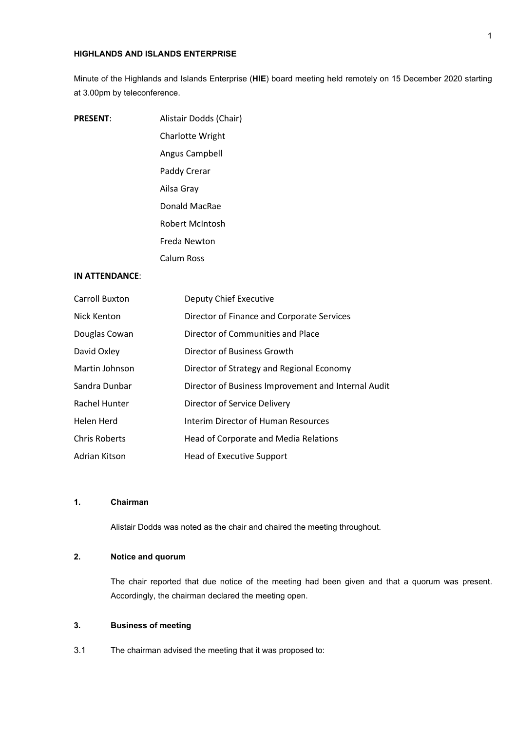#### **HIGHLANDS AND ISLANDS ENTERPRISE**

Minute of the Highlands and Islands Enterprise (**HIE**) board meeting held remotely on 15 December 2020 starting at 3.00pm by teleconference.

| <b>PRESENT:</b> | Alistair Dodds (Chair) |
|-----------------|------------------------|
|                 | Charlotte Wright       |
|                 | Angus Campbell         |
|                 | Paddy Crerar           |
|                 | Ailsa Grav             |
|                 | Donald MacRae          |
|                 | Robert McIntosh        |
|                 | Freda Newton           |
|                 | Calum Ross             |

# **IN ATTENDANCE**:

| <b>Carroll Buxton</b> | <b>Deputy Chief Executive</b>                       |
|-----------------------|-----------------------------------------------------|
| Nick Kenton           | Director of Finance and Corporate Services          |
| Douglas Cowan         | Director of Communities and Place                   |
| David Oxley           | Director of Business Growth                         |
| Martin Johnson        | Director of Strategy and Regional Economy           |
| Sandra Dunbar         | Director of Business Improvement and Internal Audit |
| Rachel Hunter         | Director of Service Delivery                        |
| Helen Herd            | Interim Director of Human Resources                 |
| <b>Chris Roberts</b>  | Head of Corporate and Media Relations               |
| Adrian Kitson         | Head of Executive Support                           |

# **1. Chairman**

Alistair Dodds was noted as the chair and chaired the meeting throughout.

# **2. Notice and quorum**

The chair reported that due notice of the meeting had been given and that a quorum was present. Accordingly, the chairman declared the meeting open.

### **3. Business of meeting**

3.1 The chairman advised the meeting that it was proposed to: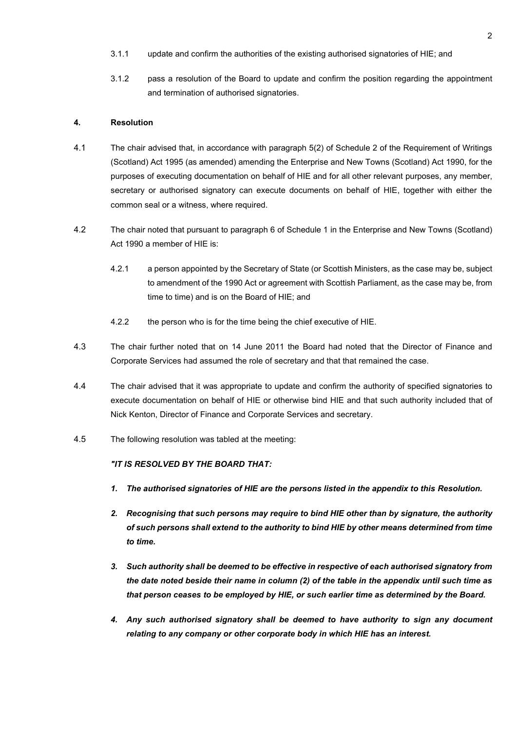- 3.1.1 update and confirm the authorities of the existing authorised signatories of HIE; and
- 3.1.2 pass a resolution of the Board to update and confirm the position regarding the appointment and termination of authorised signatories.

#### **4. Resolution**

- 4.1 The chair advised that, in accordance with paragraph 5(2) of Schedule 2 of the Requirement of Writings (Scotland) Act 1995 (as amended) amending the Enterprise and New Towns (Scotland) Act 1990, for the purposes of executing documentation on behalf of HIE and for all other relevant purposes, any member, secretary or authorised signatory can execute documents on behalf of HIE, together with either the common seal or a witness, where required.
- 4.2 The chair noted that pursuant to paragraph 6 of Schedule 1 in the Enterprise and New Towns (Scotland) Act 1990 a member of HIE is:
	- 4.2.1 a person appointed by the Secretary of State (or Scottish Ministers, as the case may be, subject to amendment of the 1990 Act or agreement with Scottish Parliament, as the case may be, from time to time) and is on the Board of HIE; and
	- 4.2.2 the person who is for the time being the chief executive of HIE.
- 4.3 The chair further noted that on 14 June 2011 the Board had noted that the Director of Finance and Corporate Services had assumed the role of secretary and that that remained the case.
- 4.4 The chair advised that it was appropriate to update and confirm the authority of specified signatories to execute documentation on behalf of HIE or otherwise bind HIE and that such authority included that of Nick Kenton, Director of Finance and Corporate Services and secretary.
- 4.5 The following resolution was tabled at the meeting:

# *"IT IS RESOLVED BY THE BOARD THAT:*

- *1. The authorised signatories of HIE are the persons listed in the appendix to this Resolution.*
- *2. Recognising that such persons may require to bind HIE other than by signature, the authority of such persons shall extend to the authority to bind HIE by other means determined from time to time.*
- *3. Such authority shall be deemed to be effective in respective of each authorised signatory from the date noted beside their name in column (2) of the table in the appendix until such time as that person ceases to be employed by HIE, or such earlier time as determined by the Board.*
- *4. Any such authorised signatory shall be deemed to have authority to sign any document relating to any company or other corporate body in which HIE has an interest.*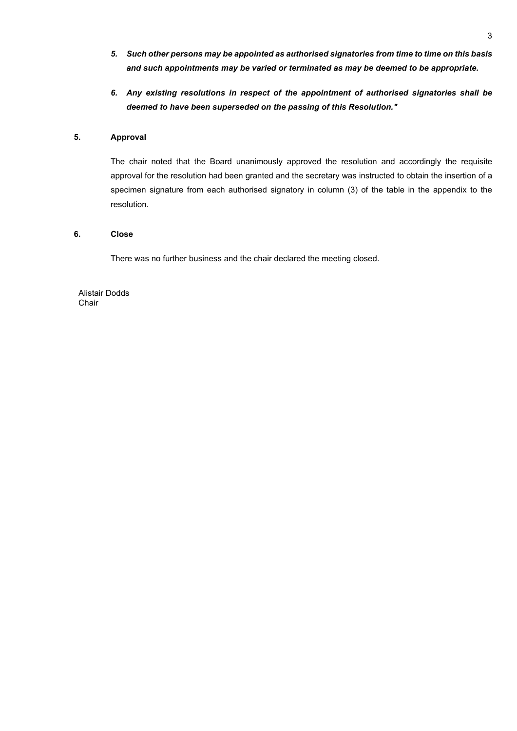- *5. Such other persons may be appointed as authorised signatories from time to time on this basis and such appointments may be varied or terminated as may be deemed to be appropriate.*
- *6. Any existing resolutions in respect of the appointment of authorised signatories shall be deemed to have been superseded on the passing of this Resolution."*

#### **5. Approval**

The chair noted that the Board unanimously approved the resolution and accordingly the requisite approval for the resolution had been granted and the secretary was instructed to obtain the insertion of a specimen signature from each authorised signatory in column (3) of the table in the appendix to the resolution.

#### **6. Close**

There was no further business and the chair declared the meeting closed.

Alistair Dodds Chair